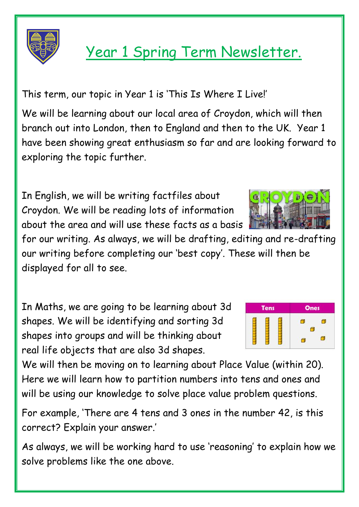

## Year 1 Spring Term Newsletter.

This term, our topic in Year 1 is 'This Is Where I Live!'

We will be learning about our local area of Croydon, which will then branch out into London, then to England and then to the UK. Year 1 have been showing great enthusiasm so far and are looking forward to exploring the topic further.

In English, we will be writing factfiles about Croydon. We will be reading lots of information about the area and will use these facts as a basis

for our writing. As always, we will be drafting, editing and re-drafting our writing before completing our 'best copy'. These will then be displayed for all to see.

In Maths, we are going to be learning about 3d shapes. We will be identifying and sorting 3d shapes into groups and will be thinking about real life objects that are also 3d shapes.

We will then be moving on to learning about Place Value (within 20). Here we will learn how to partition numbers into tens and ones and will be using our knowledge to solve place value problem questions.

For example, 'There are 4 tens and 3 ones in the number 42, is this correct? Explain your answer.'

As always, we will be working hard to use 'reasoning' to explain how we solve problems like the one above.



| <b>Tens</b> | <b>Ones</b> |
|-------------|-------------|
|             |             |
|             |             |